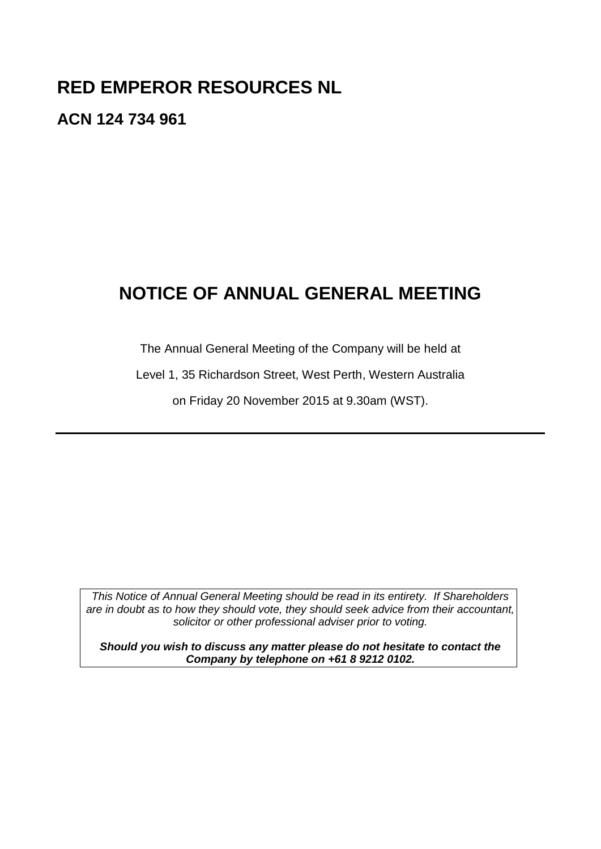# **RED EMPEROR RESOURCES NL**

**ACN 124 734 961**

# **NOTICE OF ANNUAL GENERAL MEETING**

The Annual General Meeting of the Company will be held at

Level 1, 35 Richardson Street, West Perth, Western Australia

on Friday 20 November 2015 at 9.30am (WST).

*This Notice of Annual General Meeting should be read in its entirety. If Shareholders are in doubt as to how they should vote, they should seek advice from their accountant, solicitor or other professional adviser prior to voting.*

*Should you wish to discuss any matter please do not hesitate to contact the Company by telephone on +61 8 9212 0102.*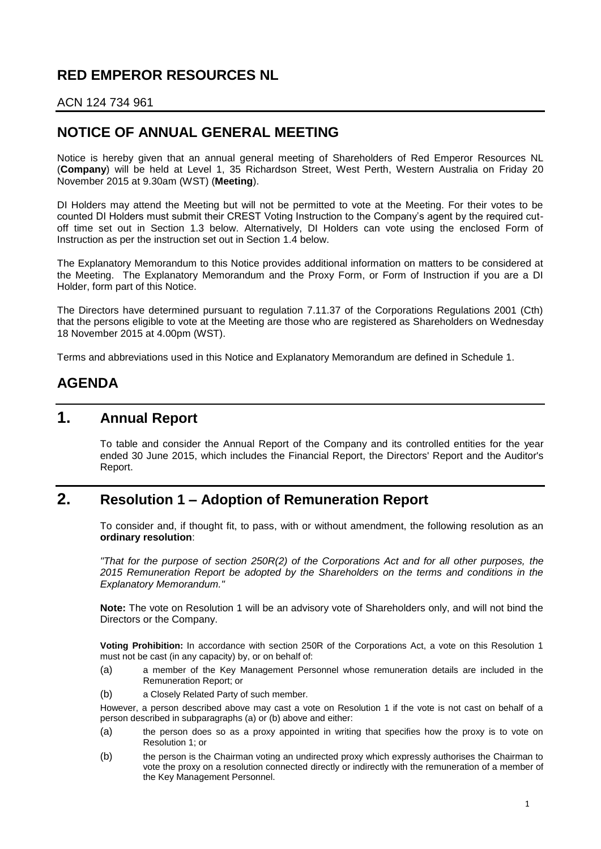# **RED EMPEROR RESOURCES NL**

#### ACN 124 734 961

### **NOTICE OF ANNUAL GENERAL MEETING**

Notice is hereby given that an annual general meeting of Shareholders of Red Emperor Resources NL (**Company**) will be held at Level 1, 35 Richardson Street, West Perth, Western Australia on Friday 20 November 2015 at 9.30am (WST) (**Meeting**).

DI Holders may attend the Meeting but will not be permitted to vote at the Meeting. For their votes to be counted DI Holders must submit their CREST Voting Instruction to the Company's agent by the required cutoff time set out in Section [1.3](#page-4-0) below. Alternatively, DI Holders can vote using the enclosed Form of Instruction as per the instruction set out in Section [1.4](#page-5-0) below.

The Explanatory Memorandum to this Notice provides additional information on matters to be considered at the Meeting. The Explanatory Memorandum and the Proxy Form, or Form of Instruction if you are a DI Holder, form part of this Notice.

The Directors have determined pursuant to regulation 7.11.37 of the Corporations Regulations 2001 (Cth) that the persons eligible to vote at the Meeting are those who are registered as Shareholders on Wednesday 18 November 2015 at 4.00pm (WST).

Terms and abbreviations used in this Notice and Explanatory Memorandum are defined in Schedule 1.

### **AGENDA**

### **1. Annual Report**

To table and consider the Annual Report of the Company and its controlled entities for the year ended 30 June 2015, which includes the Financial Report, the Directors' Report and the Auditor's Report.

### **2. Resolution 1 – Adoption of Remuneration Report**

To consider and, if thought fit, to pass, with or without amendment, the following resolution as an **ordinary resolution**:

*"That for the purpose of section 250R(2) of the Corporations Act and for all other purposes, the 2015 Remuneration Report be adopted by the Shareholders on the terms and conditions in the Explanatory Memorandum."*

**Note:** The vote on Resolution 1 will be an advisory vote of Shareholders only, and will not bind the Directors or the Company.

**Voting Prohibition:** In accordance with section 250R of the Corporations Act, a vote on this Resolution 1 must not be cast (in any capacity) by, or on behalf of:

- (a) a member of the Key Management Personnel whose remuneration details are included in the Remuneration Report; or
- (b) a Closely Related Party of such member.

However, a person described above may cast a vote on Resolution 1 if the vote is not cast on behalf of a person described in subparagraphs (a) or (b) above and either:

- (a) the person does so as a proxy appointed in writing that specifies how the proxy is to vote on Resolution 1; or
- (b) the person is the Chairman voting an undirected proxy which expressly authorises the Chairman to vote the proxy on a resolution connected directly or indirectly with the remuneration of a member of the Key Management Personnel.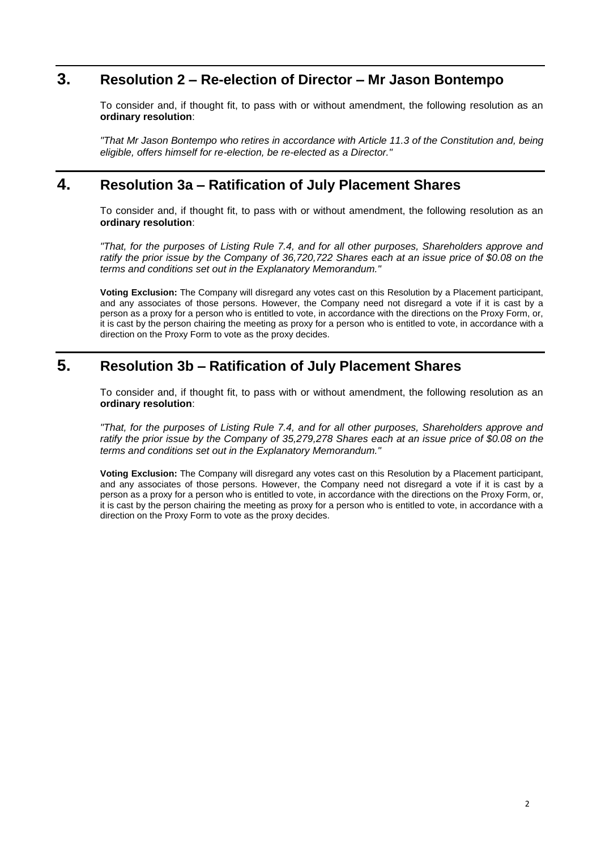# **3. Resolution 2 – Re-election of Director – Mr Jason Bontempo**

To consider and, if thought fit, to pass with or without amendment, the following resolution as an **ordinary resolution**:

*"That Mr Jason Bontempo who retires in accordance with Article 11.3 of the Constitution and, being eligible, offers himself for re-election, be re-elected as a Director."*

### **4. Resolution 3a – Ratification of July Placement Shares**

To consider and, if thought fit, to pass with or without amendment, the following resolution as an **ordinary resolution**:

*"That, for the purposes of Listing Rule 7.4, and for all other purposes, Shareholders approve and ratify the prior issue by the Company of 36,720,722 Shares each at an issue price of \$0.08 on the terms and conditions set out in the Explanatory Memorandum."*

**Voting Exclusion:** The Company will disregard any votes cast on this Resolution by a Placement participant, and any associates of those persons. However, the Company need not disregard a vote if it is cast by a person as a proxy for a person who is entitled to vote, in accordance with the directions on the Proxy Form, or, it is cast by the person chairing the meeting as proxy for a person who is entitled to vote, in accordance with a direction on the Proxy Form to vote as the proxy decides.

### **5. Resolution 3b – Ratification of July Placement Shares**

To consider and, if thought fit, to pass with or without amendment, the following resolution as an **ordinary resolution**:

*"That, for the purposes of Listing Rule 7.4, and for all other purposes, Shareholders approve and ratify the prior issue by the Company of 35,279,278 Shares each at an issue price of \$0.08 on the terms and conditions set out in the Explanatory Memorandum."*

**Voting Exclusion:** The Company will disregard any votes cast on this Resolution by a Placement participant, and any associates of those persons. However, the Company need not disregard a vote if it is cast by a person as a proxy for a person who is entitled to vote, in accordance with the directions on the Proxy Form, or, it is cast by the person chairing the meeting as proxy for a person who is entitled to vote, in accordance with a direction on the Proxy Form to vote as the proxy decides.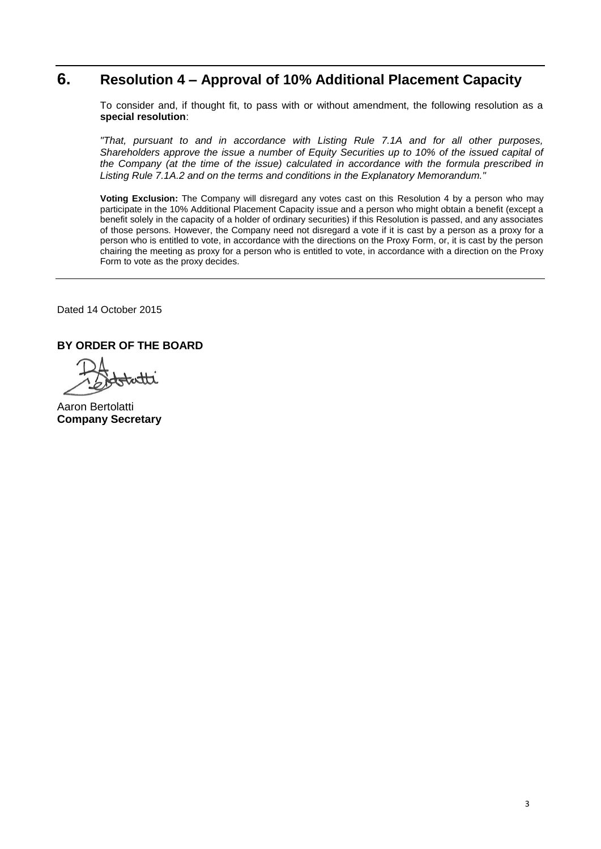# **6. Resolution 4 – Approval of 10% Additional Placement Capacity**

To consider and, if thought fit, to pass with or without amendment, the following resolution as a **special resolution**:

*"That, pursuant to and in accordance with Listing Rule 7.1A and for all other purposes, Shareholders approve the issue a number of Equity Securities up to 10% of the issued capital of the Company (at the time of the issue) calculated in accordance with the formula prescribed in Listing Rule 7.1A.2 and on the terms and conditions in the Explanatory Memorandum."*

**Voting Exclusion:** The Company will disregard any votes cast on this Resolution 4 by a person who may participate in the 10% Additional Placement Capacity issue and a person who might obtain a benefit (except a benefit solely in the capacity of a holder of ordinary securities) if this Resolution is passed, and any associates of those persons. However, the Company need not disregard a vote if it is cast by a person as a proxy for a person who is entitled to vote, in accordance with the directions on the Proxy Form, or, it is cast by the person chairing the meeting as proxy for a person who is entitled to vote, in accordance with a direction on the Proxy Form to vote as the proxy decides.

Dated 14 October 2015

#### **BY ORDER OF THE BOARD**

Aaron Bertolatti **Company Secretary**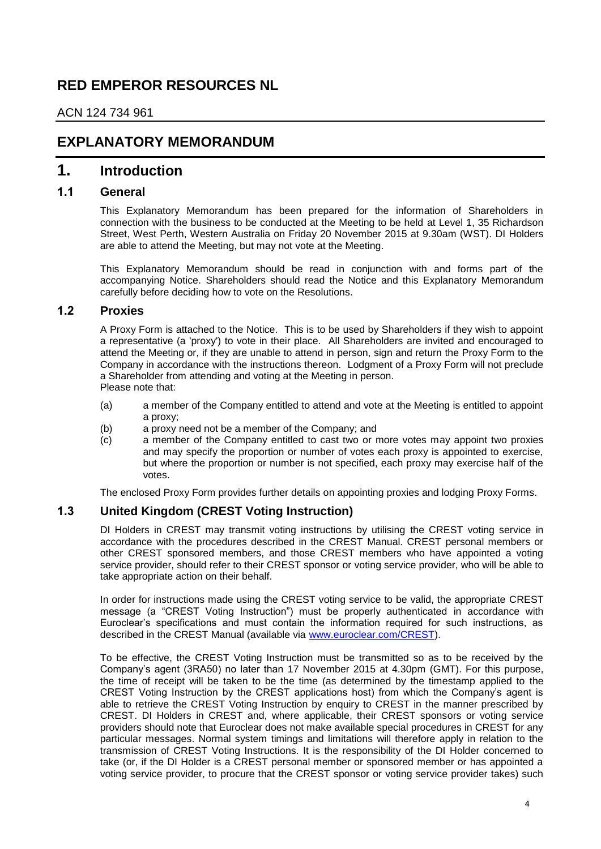### **RED EMPEROR RESOURCES NL**

ACN 124 734 961

### **EXPLANATORY MEMORANDUM**

### **1. Introduction**

#### **1.1 General**

This Explanatory Memorandum has been prepared for the information of Shareholders in connection with the business to be conducted at the Meeting to be held at Level 1, 35 Richardson Street, West Perth, Western Australia on Friday 20 November 2015 at 9.30am (WST). DI Holders are able to attend the Meeting, but may not vote at the Meeting.

This Explanatory Memorandum should be read in conjunction with and forms part of the accompanying Notice. Shareholders should read the Notice and this Explanatory Memorandum carefully before deciding how to vote on the Resolutions.

#### **1.2 Proxies**

A Proxy Form is attached to the Notice. This is to be used by Shareholders if they wish to appoint a representative (a 'proxy') to vote in their place. All Shareholders are invited and encouraged to attend the Meeting or, if they are unable to attend in person, sign and return the Proxy Form to the Company in accordance with the instructions thereon. Lodgment of a Proxy Form will not preclude a Shareholder from attending and voting at the Meeting in person. Please note that:

- (a) a member of the Company entitled to attend and vote at the Meeting is entitled to appoint a proxy;
- (b) a proxy need not be a member of the Company; and
- (c) a member of the Company entitled to cast two or more votes may appoint two proxies and may specify the proportion or number of votes each proxy is appointed to exercise, but where the proportion or number is not specified, each proxy may exercise half of the votes.

The enclosed Proxy Form provides further details on appointing proxies and lodging Proxy Forms.

#### <span id="page-4-0"></span>**1.3 United Kingdom (CREST Voting Instruction)**

DI Holders in CREST may transmit voting instructions by utilising the CREST voting service in accordance with the procedures described in the CREST Manual. CREST personal members or other CREST sponsored members, and those CREST members who have appointed a voting service provider, should refer to their CREST sponsor or voting service provider, who will be able to take appropriate action on their behalf.

In order for instructions made using the CREST voting service to be valid, the appropriate CREST message (a "CREST Voting Instruction") must be properly authenticated in accordance with Euroclear's specifications and must contain the information required for such instructions, as described in the CREST Manual (available via [www.euroclear.com/CREST\)](http://www.euroclear.com/CREST).

To be effective, the CREST Voting Instruction must be transmitted so as to be received by the Company's agent (3RA50) no later than 17 November 2015 at 4.30pm (GMT). For this purpose, the time of receipt will be taken to be the time (as determined by the timestamp applied to the CREST Voting Instruction by the CREST applications host) from which the Company's agent is able to retrieve the CREST Voting Instruction by enquiry to CREST in the manner prescribed by CREST. DI Holders in CREST and, where applicable, their CREST sponsors or voting service providers should note that Euroclear does not make available special procedures in CREST for any particular messages. Normal system timings and limitations will therefore apply in relation to the transmission of CREST Voting Instructions. It is the responsibility of the DI Holder concerned to take (or, if the DI Holder is a CREST personal member or sponsored member or has appointed a voting service provider, to procure that the CREST sponsor or voting service provider takes) such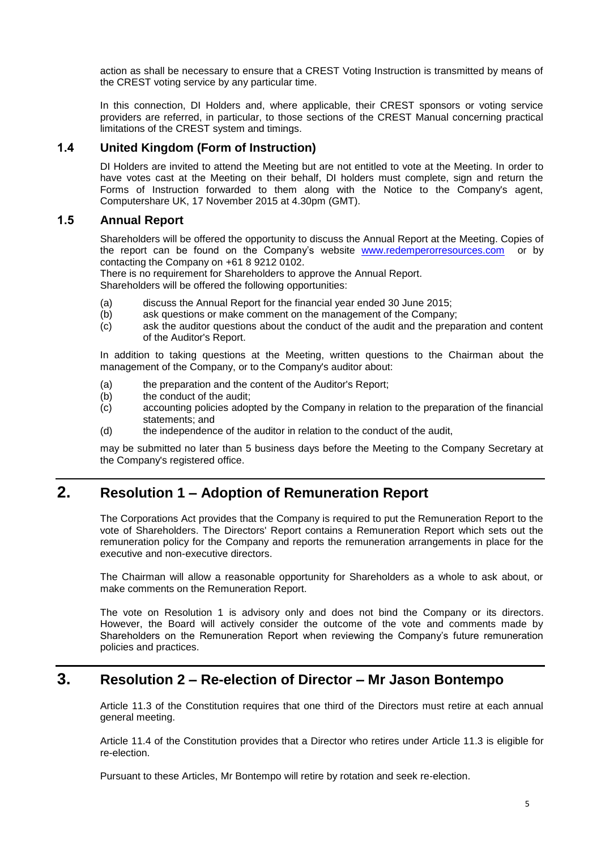action as shall be necessary to ensure that a CREST Voting Instruction is transmitted by means of the CREST voting service by any particular time.

In this connection, DI Holders and, where applicable, their CREST sponsors or voting service providers are referred, in particular, to those sections of the CREST Manual concerning practical limitations of the CREST system and timings.

#### <span id="page-5-0"></span>**1.4 United Kingdom (Form of Instruction)**

DI Holders are invited to attend the Meeting but are not entitled to vote at the Meeting. In order to have votes cast at the Meeting on their behalf, DI holders must complete, sign and return the Forms of Instruction forwarded to them along with the Notice to the Company's agent, Computershare UK, 17 November 2015 at 4.30pm (GMT).

#### **1.5 Annual Report**

Shareholders will be offered the opportunity to discuss the Annual Report at the Meeting. Copies of the report can be found on the Company's website [www.redemperorresources.com](http://www.wholenewhome.com.au/) or by contacting the Company on +61 8 9212 0102.

There is no requirement for Shareholders to approve the Annual Report.

Shareholders will be offered the following opportunities:

- (a) discuss the Annual Report for the financial year ended 30 June 2015;
- (b) ask questions or make comment on the management of the Company;
- (c) ask the auditor questions about the conduct of the audit and the preparation and content of the Auditor's Report.

In addition to taking questions at the Meeting, written questions to the Chairman about the management of the Company, or to the Company's auditor about:

- (a) the preparation and the content of the Auditor's Report;
- (b) the conduct of the audit;
- (c) accounting policies adopted by the Company in relation to the preparation of the financial statements; and
- (d) the independence of the auditor in relation to the conduct of the audit,

may be submitted no later than 5 business days before the Meeting to the Company Secretary at the Company's registered office.

# **2. Resolution 1 – Adoption of Remuneration Report**

The Corporations Act provides that the Company is required to put the Remuneration Report to the vote of Shareholders. The Directors' Report contains a Remuneration Report which sets out the remuneration policy for the Company and reports the remuneration arrangements in place for the executive and non-executive directors.

The Chairman will allow a reasonable opportunity for Shareholders as a whole to ask about, or make comments on the Remuneration Report.

The vote on Resolution 1 is advisory only and does not bind the Company or its directors. However, the Board will actively consider the outcome of the vote and comments made by Shareholders on the Remuneration Report when reviewing the Company's future remuneration policies and practices.

### **3. Resolution 2 – Re-election of Director – Mr Jason Bontempo**

Article 11.3 of the Constitution requires that one third of the Directors must retire at each annual general meeting.

Article 11.4 of the Constitution provides that a Director who retires under Article 11.3 is eligible for re-election.

Pursuant to these Articles, Mr Bontempo will retire by rotation and seek re-election.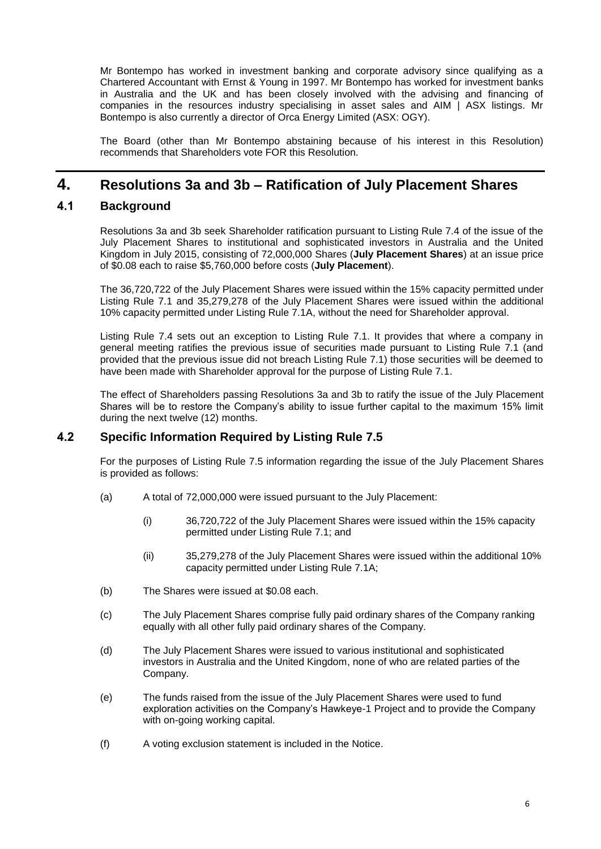Mr Bontempo has worked in investment banking and corporate advisory since qualifying as a Chartered Accountant with Ernst & Young in 1997. Mr Bontempo has worked for investment banks in Australia and the UK and has been closely involved with the advising and financing of companies in the resources industry specialising in asset sales and AIM | ASX listings. Mr Bontempo is also currently a director of Orca Energy Limited (ASX: OGY).

The Board (other than Mr Bontempo abstaining because of his interest in this Resolution) recommends that Shareholders vote FOR this Resolution.

# **4. Resolutions 3a and 3b – Ratification of July Placement Shares**

### **4.1 Background**

Resolutions 3a and 3b seek Shareholder ratification pursuant to Listing Rule 7.4 of the issue of the July Placement Shares to institutional and sophisticated investors in Australia and the United Kingdom in July 2015, consisting of 72,000,000 Shares (**July Placement Shares**) at an issue price of \$0.08 each to raise \$5,760,000 before costs (**July Placement**).

The 36,720,722 of the July Placement Shares were issued within the 15% capacity permitted under Listing Rule 7.1 and 35,279,278 of the July Placement Shares were issued within the additional 10% capacity permitted under Listing Rule 7.1A, without the need for Shareholder approval.

Listing Rule 7.4 sets out an exception to Listing Rule 7.1. It provides that where a company in general meeting ratifies the previous issue of securities made pursuant to Listing Rule 7.1 (and provided that the previous issue did not breach Listing Rule 7.1) those securities will be deemed to have been made with Shareholder approval for the purpose of Listing Rule 7.1.

The effect of Shareholders passing Resolutions 3a and 3b to ratify the issue of the July Placement Shares will be to restore the Company's ability to issue further capital to the maximum 15% limit during the next twelve (12) months.

### **4.2 Specific Information Required by Listing Rule 7.5**

For the purposes of Listing Rule 7.5 information regarding the issue of the July Placement Shares is provided as follows:

- (a) A total of 72,000,000 were issued pursuant to the July Placement:
	- (i) 36,720,722 of the July Placement Shares were issued within the 15% capacity permitted under Listing Rule 7.1; and
	- (ii) 35,279,278 of the July Placement Shares were issued within the additional 10% capacity permitted under Listing Rule 7.1A;
- (b) The Shares were issued at \$0.08 each.
- (c) The July Placement Shares comprise fully paid ordinary shares of the Company ranking equally with all other fully paid ordinary shares of the Company.
- (d) The July Placement Shares were issued to various institutional and sophisticated investors in Australia and the United Kingdom, none of who are related parties of the Company.
- (e) The funds raised from the issue of the July Placement Shares were used to fund exploration activities on the Company's Hawkeye-1 Project and to provide the Company with on-going working capital.
- (f) A voting exclusion statement is included in the Notice.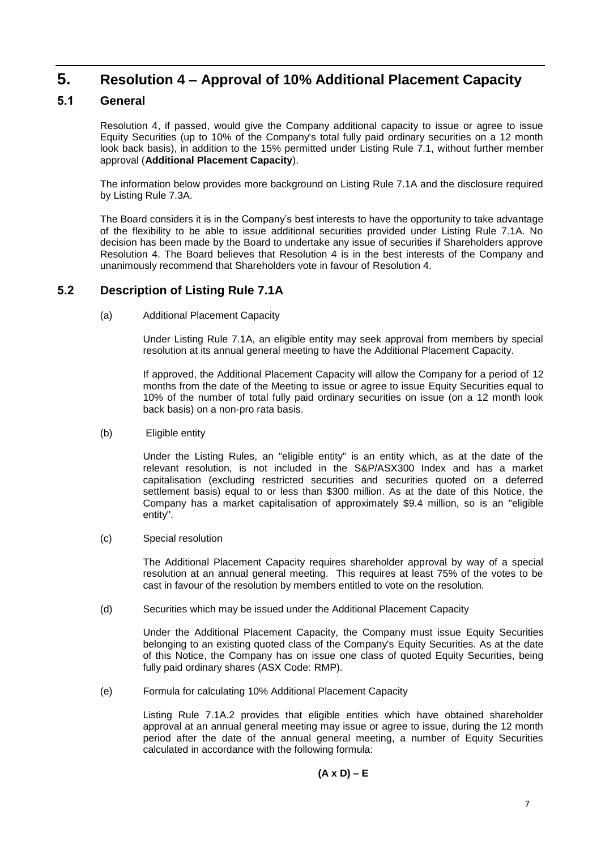### **5. Resolution 4 – Approval of 10% Additional Placement Capacity**

### <span id="page-7-0"></span>**5.1 General**

Resolution 4, if passed, would give the Company additional capacity to issue or agree to issue Equity Securities (up to 10% of the Company's total fully paid ordinary securities on a 12 month look back basis), in addition to the 15% permitted under Listing Rule 7.1, without further member approval (**Additional Placement Capacity**).

The information below provides more background on Listing Rule 7.1A and the disclosure required by Listing Rule 7.3A.

The Board considers it is in the Company's best interests to have the opportunity to take advantage of the flexibility to be able to issue additional securities provided under Listing Rule 7.1A. No decision has been made by the Board to undertake any issue of securities if Shareholders approve Resolution 4. The Board believes that Resolution 4 is in the best interests of the Company and unanimously recommend that Shareholders vote in favour of Resolution 4.

### **5.2 Description of Listing Rule 7.1A**

(a) Additional Placement Capacity

Under Listing Rule 7.1A, an eligible entity may seek approval from members by special resolution at its annual general meeting to have the Additional Placement Capacity.

If approved, the Additional Placement Capacity will allow the Company for a period of 12 months from the date of the Meeting to issue or agree to issue Equity Securities equal to 10% of the number of total fully paid ordinary securities on issue (on a 12 month look back basis) on a non-pro rata basis.

(b) Eligible entity

Under the Listing Rules, an "eligible entity" is an entity which, as at the date of the relevant resolution, is not included in the S&P/ASX300 Index and has a market capitalisation (excluding restricted securities and securities quoted on a deferred settlement basis) equal to or less than \$300 million. As at the date of this Notice, the Company has a market capitalisation of approximately \$9.4 million, so is an "eligible entity".

(c) Special resolution

The Additional Placement Capacity requires shareholder approval by way of a special resolution at an annual general meeting. This requires at least 75% of the votes to be cast in favour of the resolution by members entitled to vote on the resolution.

(d) Securities which may be issued under the Additional Placement Capacity

Under the Additional Placement Capacity, the Company must issue Equity Securities belonging to an existing quoted class of the Company's Equity Securities. As at the date of this Notice, the Company has on issue one class of quoted Equity Securities, being fully paid ordinary shares (ASX Code: RMP).

(e) Formula for calculating 10% Additional Placement Capacity

Listing Rule 7.1A.2 provides that eligible entities which have obtained shareholder approval at an annual general meeting may issue or agree to issue, during the 12 month period after the date of the annual general meeting, a number of Equity Securities calculated in accordance with the following formula:

$$
(A \times D) - E
$$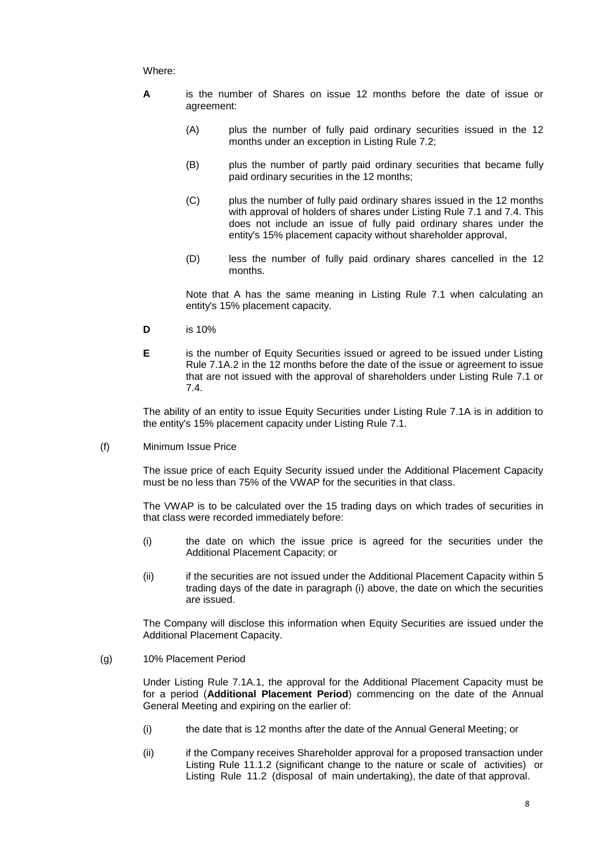#### Where:

- **A** is the number of Shares on issue 12 months before the date of issue or agreement:
	- (A) plus the number of fully paid ordinary securities issued in the 12 months under an exception in Listing Rule 7.2;
	- (B) plus the number of partly paid ordinary securities that became fully paid ordinary securities in the 12 months;
	- (C) plus the number of fully paid ordinary shares issued in the 12 months with approval of holders of shares under Listing Rule 7.1 and 7.4. This does not include an issue of fully paid ordinary shares under the entity's 15% placement capacity without shareholder approval,
	- (D) less the number of fully paid ordinary shares cancelled in the 12 months.

Note that A has the same meaning in Listing Rule 7.1 when calculating an entity's 15% placement capacity.

- **D** is 10%
- **E** is the number of Equity Securities issued or agreed to be issued under Listing Rule 7.1A.2 in the 12 months before the date of the issue or agreement to issue that are not issued with the approval of shareholders under Listing Rule 7.1 or 7.4.

The ability of an entity to issue Equity Securities under Listing Rule 7.1A is in addition to the entity's 15% placement capacity under Listing Rule 7.1.

(f) Minimum Issue Price

The issue price of each Equity Security issued under the Additional Placement Capacity must be no less than 75% of the VWAP for the securities in that class.

The VWAP is to be calculated over the 15 trading days on which trades of securities in that class were recorded immediately before:

- (i) the date on which the issue price is agreed for the securities under the Additional Placement Capacity; or
- (ii) if the securities are not issued under the Additional Placement Capacity within 5 trading days of the date in paragraph (i) above, the date on which the securities are issued.

<span id="page-8-0"></span>The Company will disclose this information when Equity Securities are issued under the Additional Placement Capacity.

(g) 10% Placement Period

Under Listing Rule 7.1A.1, the approval for the Additional Placement Capacity must be for a period (**Additional Placement Period**) commencing on the date of the Annual General Meeting and expiring on the earlier of:

- (i) the date that is 12 months after the date of the Annual General Meeting; or
- (ii) if the Company receives Shareholder approval for a proposed transaction under Listing Rule 11.1.2 (significant change to the nature or scale of activities) or Listing Rule 11.2 (disposal of main undertaking), the date of that approval.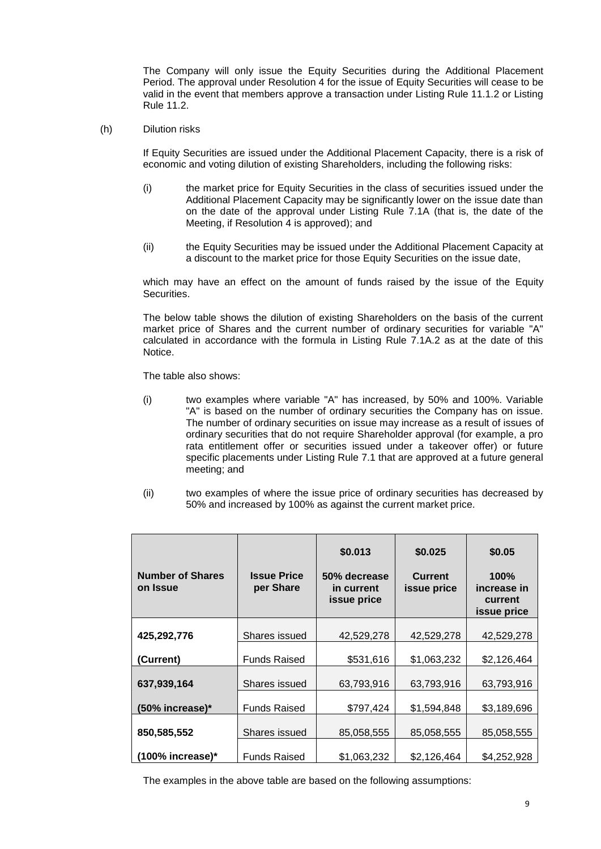The Company will only issue the Equity Securities during the Additional Placement Period. The approval under Resolution 4 for the issue of Equity Securities will cease to be valid in the event that members approve a transaction under Listing Rule 11.1.2 or Listing Rule 11.2.

(h) Dilution risks

If Equity Securities are issued under the Additional Placement Capacity, there is a risk of economic and voting dilution of existing Shareholders, including the following risks:

- (i) the market price for Equity Securities in the class of securities issued under the Additional Placement Capacity may be significantly lower on the issue date than on the date of the approval under Listing Rule 7.1A (that is, the date of the Meeting, if Resolution 4 is approved); and
- (ii) the Equity Securities may be issued under the Additional Placement Capacity at a discount to the market price for those Equity Securities on the issue date,

which may have an effect on the amount of funds raised by the issue of the Equity Securities.

The below table shows the dilution of existing Shareholders on the basis of the current market price of Shares and the current number of ordinary securities for variable "A" calculated in accordance with the formula in Listing Rule 7.1A.2 as at the date of this Notice.

The table also shows:

- (i) two examples where variable "A" has increased, by 50% and 100%. Variable "A" is based on the number of ordinary securities the Company has on issue. The number of ordinary securities on issue may increase as a result of issues of ordinary securities that do not require Shareholder approval (for example, a pro rata entitlement offer or securities issued under a takeover offer) or future specific placements under Listing Rule 7.1 that are approved at a future general meeting; and
- (ii) two examples of where the issue price of ordinary securities has decreased by 50% and increased by 100% as against the current market price.

| <b>Number of Shares</b><br>on Issue | <b>Issue Price</b><br>per Share | \$0.013<br>\$0.025<br><b>Current</b><br>50% decrease<br>issue price<br>in current<br>issue price |             | \$0.05<br>100%<br>increase in<br>current<br>issue price |  |  |
|-------------------------------------|---------------------------------|--------------------------------------------------------------------------------------------------|-------------|---------------------------------------------------------|--|--|
| 425,292,776                         | Shares issued                   | 42,529,278                                                                                       | 42,529,278  | 42,529,278                                              |  |  |
| (Current)                           | <b>Funds Raised</b>             | \$531,616                                                                                        | \$1,063,232 | \$2,126,464                                             |  |  |
| 637,939,164                         | Shares issued                   | 63,793,916                                                                                       | 63,793,916  | 63,793,916                                              |  |  |
| (50% increase)*                     | <b>Funds Raised</b>             | \$797,424                                                                                        | \$1,594,848 | \$3,189,696                                             |  |  |
| 850,585,552                         | Shares issued                   | 85,058,555                                                                                       | 85,058,555  | 85,058,555                                              |  |  |
| (100% increase)*                    | <b>Funds Raised</b>             | \$1,063,232                                                                                      | \$2,126,464 | \$4,252,928                                             |  |  |

The examples in the above table are based on the following assumptions: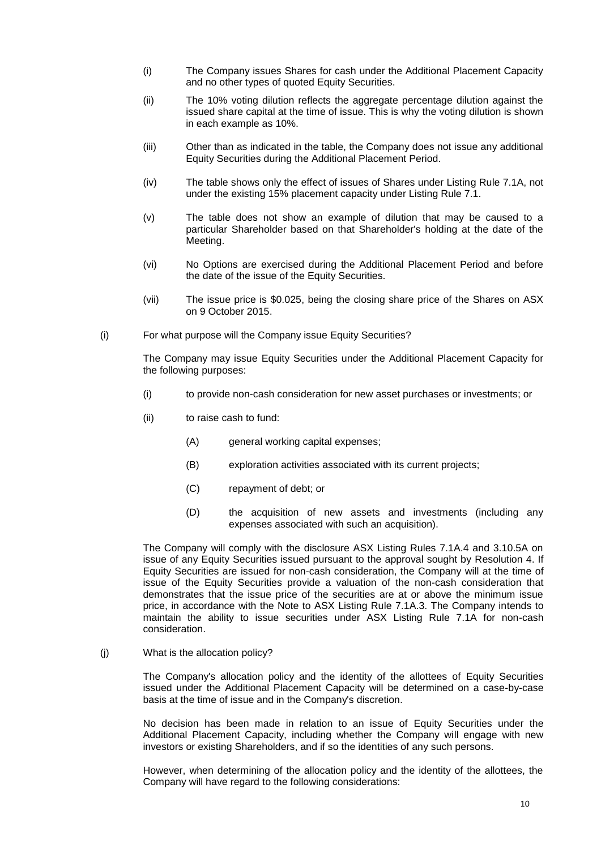- (i) The Company issues Shares for cash under the Additional Placement Capacity and no other types of quoted Equity Securities.
- (ii) The 10% voting dilution reflects the aggregate percentage dilution against the issued share capital at the time of issue. This is why the voting dilution is shown in each example as 10%.
- (iii) Other than as indicated in the table, the Company does not issue any additional Equity Securities during the Additional Placement Period.
- (iv) The table shows only the effect of issues of Shares under Listing Rule 7.1A, not under the existing 15% placement capacity under Listing Rule 7.1.
- (v) The table does not show an example of dilution that may be caused to a particular Shareholder based on that Shareholder's holding at the date of the Meeting.
- (vi) No Options are exercised during the Additional Placement Period and before the date of the issue of the Equity Securities.
- (vii) The issue price is \$0.025, being the closing share price of the Shares on ASX on 9 October 2015.
- (i) For what purpose will the Company issue Equity Securities?

The Company may issue Equity Securities under the Additional Placement Capacity for the following purposes:

- (i) to provide non-cash consideration for new asset purchases or investments; or
- (ii) to raise cash to fund:
	- (A) general working capital expenses;
	- (B) exploration activities associated with its current projects;
	- (C) repayment of debt; or
	- (D) the acquisition of new assets and investments (including any expenses associated with such an acquisition).

The Company will comply with the disclosure ASX Listing Rules 7.1A.4 and 3.10.5A on issue of any Equity Securities issued pursuant to the approval sought by Resolution 4. If Equity Securities are issued for non-cash consideration, the Company will at the time of issue of the Equity Securities provide a valuation of the non-cash consideration that demonstrates that the issue price of the securities are at or above the minimum issue price, in accordance with the Note to ASX Listing Rule 7.1A.3. The Company intends to maintain the ability to issue securities under ASX Listing Rule 7.1A for non-cash consideration.

(j) What is the allocation policy?

The Company's allocation policy and the identity of the allottees of Equity Securities issued under the Additional Placement Capacity will be determined on a case-by-case basis at the time of issue and in the Company's discretion.

No decision has been made in relation to an issue of Equity Securities under the Additional Placement Capacity, including whether the Company will engage with new investors or existing Shareholders, and if so the identities of any such persons.

However, when determining of the allocation policy and the identity of the allottees, the Company will have regard to the following considerations: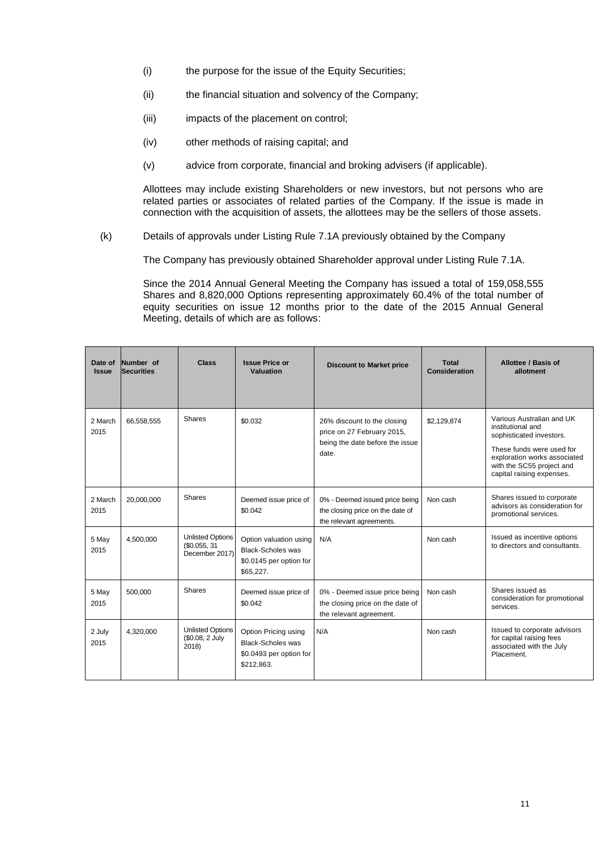- (i) the purpose for the issue of the Equity Securities;
- (ii) the financial situation and solvency of the Company;
- (iii) impacts of the placement on control;
- (iv) other methods of raising capital; and
- (v) advice from corporate, financial and broking advisers (if applicable).

Allottees may include existing Shareholders or new investors, but not persons who are related parties or associates of related parties of the Company. If the issue is made in connection with the acquisition of assets, the allottees may be the sellers of those assets.

(k) Details of approvals under Listing Rule 7.1A previously obtained by the Company

The Company has previously obtained Shareholder approval under Listing Rule 7.1A.

Since the 2014 Annual General Meeting the Company has issued a total of 159,058,555 Shares and 8,820,000 Options representing approximately 60.4% of the total number of equity securities on issue 12 months prior to the date of the 2015 Annual General Meeting, details of which are as follows:

| Date of<br><b>Issue</b> | Number of<br><b>Securities</b> | <b>Class</b>                                             | <b>Issue Price or</b><br>Valuation                                                         | <b>Discount to Market price</b>                                                                       | Total<br>Consideration | Allottee / Basis of<br>allotment                                                                                                                                                                  |
|-------------------------|--------------------------------|----------------------------------------------------------|--------------------------------------------------------------------------------------------|-------------------------------------------------------------------------------------------------------|------------------------|---------------------------------------------------------------------------------------------------------------------------------------------------------------------------------------------------|
| 2 March<br>2015         | 66,558,555                     | Shares                                                   | \$0.032                                                                                    | 26% discount to the closing<br>price on 27 February 2015,<br>being the date before the issue<br>date. | \$2,129,874            | Various Australian and UK<br>institutional and<br>sophisticated investors.<br>These funds were used for<br>exploration works associated<br>with the SC55 project and<br>capital raising expenses. |
| 2 March<br>2015         | 20,000,000                     | Shares                                                   | Deemed issue price of<br>\$0.042                                                           | 0% - Deemed issued price being<br>the closing price on the date of<br>the relevant agreements.        | Non cash               | Shares issued to corporate<br>advisors as consideration for<br>promotional services.                                                                                                              |
| 5 May<br>2015           | 4,500,000                      | <b>Unlisted Options</b><br>\$0.055, 31<br>December 2017) | Option valuation using<br><b>Black-Scholes was</b><br>\$0.0145 per option for<br>\$65,227. | N/A                                                                                                   | Non cash               | Issued as incentive options<br>to directors and consultants.                                                                                                                                      |
| 5 May<br>2015           | 500,000                        | Shares                                                   | Deemed issue price of<br>\$0.042                                                           | 0% - Deemed issue price being<br>the closing price on the date of<br>the relevant agreement.          | Non cash               | Shares issued as<br>consideration for promotional<br>services.                                                                                                                                    |
| 2 July<br>2015          | 4,320,000                      | <b>Unlisted Options</b><br>(\$0.08, 2 July<br>2018)      | Option Pricing using<br><b>Black-Scholes was</b><br>\$0.0493 per option for<br>\$212,863.  | N/A                                                                                                   | Non cash               | Issued to corporate advisors<br>for capital raising fees<br>associated with the July<br>Placement.                                                                                                |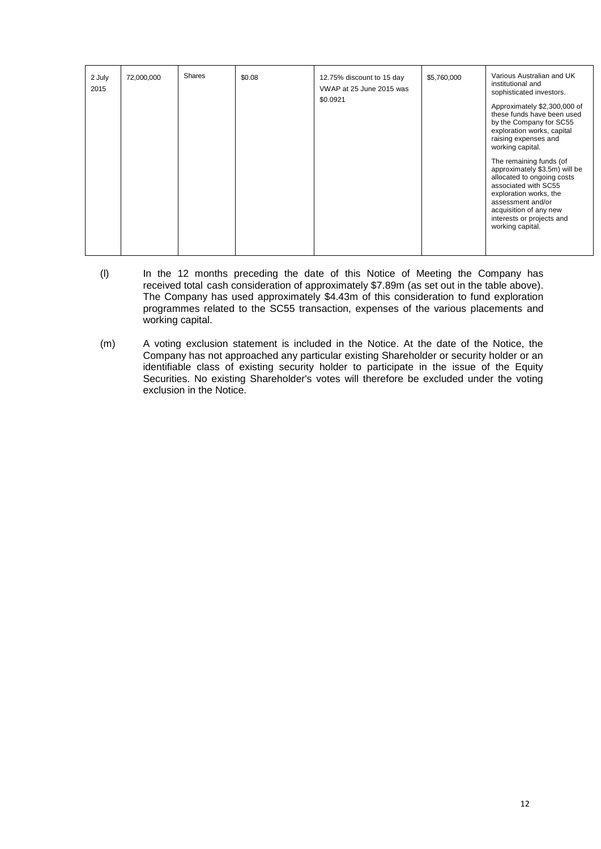| 2 July<br>2015 | 72,000,000 | Shares | \$0.08 | 12.75% discount to 15 day<br>VWAP at 25 June 2015 was<br>\$0.0921 | \$5,760,000 | Various Australian and UK<br>institutional and<br>sophisticated investors.<br>Approximately \$2,300,000 of<br>these funds have been used<br>by the Company for SC55<br>exploration works, capital<br>raising expenses and<br>working capital.<br>The remaining funds (of<br>approximately \$3.5m) will be<br>allocated to ongoing costs<br>associated with SC55<br>exploration works, the<br>assessment and/or<br>acquisition of any new<br>interests or projects and<br>working capital. |
|----------------|------------|--------|--------|-------------------------------------------------------------------|-------------|-------------------------------------------------------------------------------------------------------------------------------------------------------------------------------------------------------------------------------------------------------------------------------------------------------------------------------------------------------------------------------------------------------------------------------------------------------------------------------------------|

- (l) In the 12 months preceding the date of this Notice of Meeting the Company has received total cash consideration of approximately \$7.89m (as set out in the table above). The Company has used approximately \$4.43m of this consideration to fund exploration programmes related to the SC55 transaction, expenses of the various placements and working capital.
- (m) A voting exclusion statement is included in the Notice. At the date of the Notice, the Company has not approached any particular existing Shareholder or security holder or an identifiable class of existing security holder to participate in the issue of the Equity Securities. No existing Shareholder's votes will therefore be excluded under the voting exclusion in the Notice.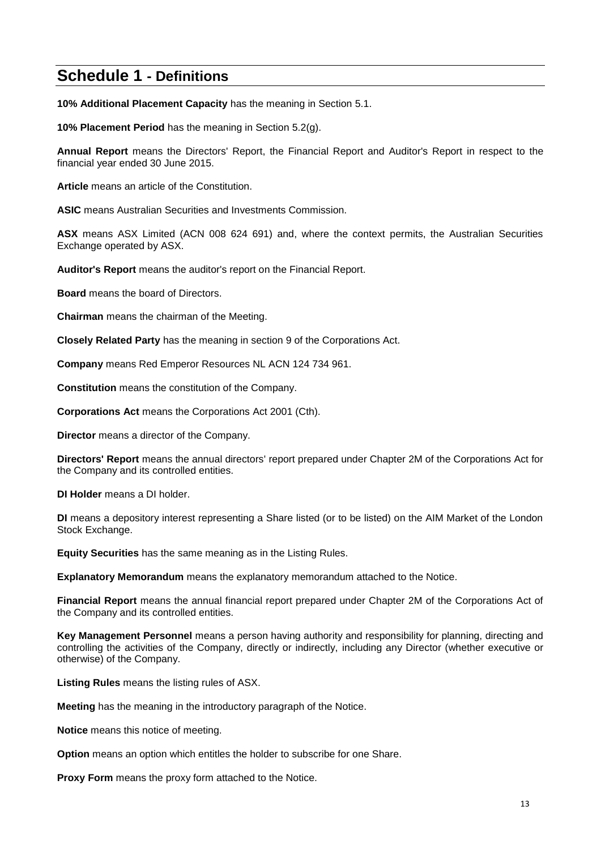# **Schedule 1 - Definitions**

**10% Additional Placement Capacity** has the meaning in Section [5.1.](#page-7-0)

**10% Placement Period** has the meaning in Section [5.2\(g\).](#page-8-0)

**Annual Report** means the Directors' Report, the Financial Report and Auditor's Report in respect to the financial year ended 30 June 2015.

**Article** means an article of the Constitution.

**ASIC** means Australian Securities and Investments Commission.

**ASX** means ASX Limited (ACN 008 624 691) and, where the context permits, the Australian Securities Exchange operated by ASX.

**Auditor's Report** means the auditor's report on the Financial Report.

**Board** means the board of Directors.

**Chairman** means the chairman of the Meeting.

**Closely Related Party** has the meaning in section 9 of the Corporations Act.

**Company** means Red Emperor Resources NL ACN 124 734 961.

**Constitution** means the constitution of the Company.

**Corporations Act** means the Corporations Act 2001 (Cth).

**Director** means a director of the Company.

**Directors' Report** means the annual directors' report prepared under Chapter 2M of the Corporations Act for the Company and its controlled entities.

**DI Holder** means a DI holder.

**DI** means a depository interest representing a Share listed (or to be listed) on the AIM Market of the London Stock Exchange.

**Equity Securities** has the same meaning as in the Listing Rules.

**Explanatory Memorandum** means the explanatory memorandum attached to the Notice.

**Financial Report** means the annual financial report prepared under Chapter 2M of the Corporations Act of the Company and its controlled entities.

**Key Management Personnel** means a person having authority and responsibility for planning, directing and controlling the activities of the Company, directly or indirectly, including any Director (whether executive or otherwise) of the Company.

**Listing Rules** means the listing rules of ASX.

**Meeting** has the meaning in the introductory paragraph of the Notice.

**Notice** means this notice of meeting.

**Option** means an option which entitles the holder to subscribe for one Share.

**Proxy Form** means the proxy form attached to the Notice.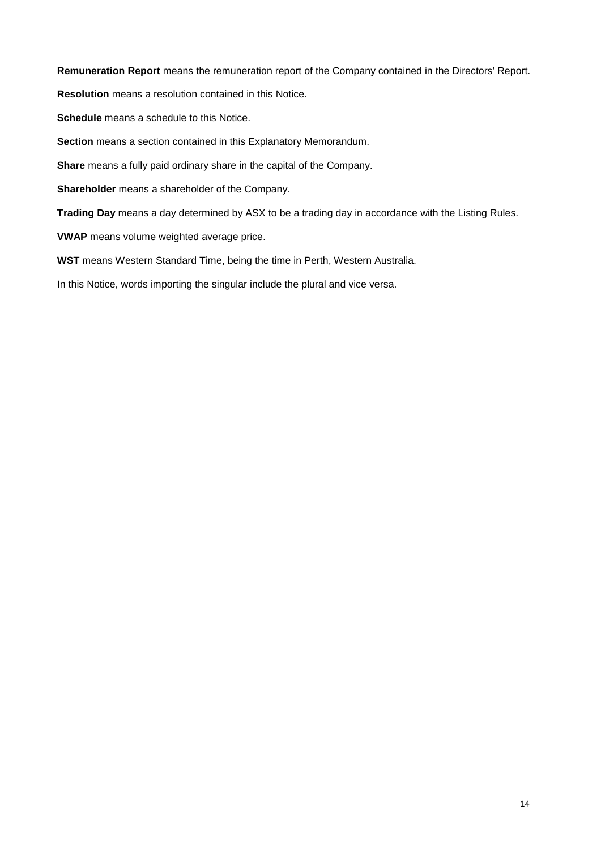**Remuneration Report** means the remuneration report of the Company contained in the Directors' Report. **Resolution** means a resolution contained in this Notice. **Schedule** means a schedule to this Notice. **Section** means a section contained in this Explanatory Memorandum. **Share** means a fully paid ordinary share in the capital of the Company. **Shareholder** means a shareholder of the Company. **Trading Day** means a day determined by ASX to be a trading day in accordance with the Listing Rules.

**VWAP** means volume weighted average price.

**WST** means Western Standard Time, being the time in Perth, Western Australia.

In this Notice, words importing the singular include the plural and vice versa.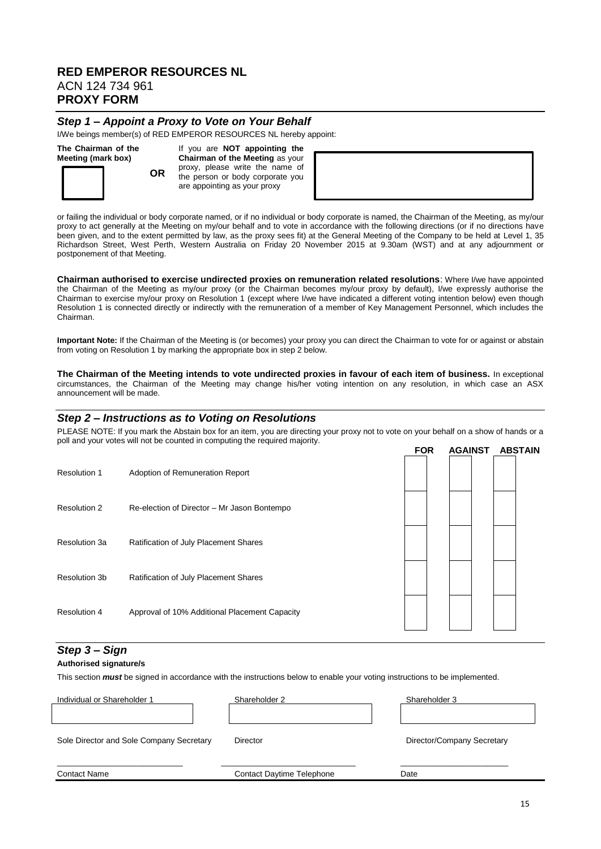### **RED EMPEROR RESOURCES NL** ACN 124 734 961 **PROXY FORM**

#### *Step 1 – Appoint a Proxy to Vote on Your Behalf*

I/We beings member(s) of RED EMPEROR RESOURCES NL hereby appoint:

#### **The Chairman of the Meeting (mark box)**

**OR** If you are **NOT appointing the Chairman of the Meeting** as your proxy, please write the name of the person or body corporate you are appointing as your proxy

or failing the individual or body corporate named, or if no individual or body corporate is named, the Chairman of the Meeting, as my/our proxy to act generally at the Meeting on my/our behalf and to vote in accordance with the following directions (or if no directions have been given, and to the extent permitted by law, as the proxy sees fit) at the General Meeting of the Company to be held at Level 1, 35 Richardson Street, West Perth, Western Australia on Friday 20 November 2015 at 9.30am (WST) and at any adjournment or postponement of that Meeting.

**Chairman authorised to exercise undirected proxies on remuneration related resolutions**: Where I/we have appointed the Chairman of the Meeting as my/our proxy (or the Chairman becomes my/our proxy by default), I/we expressly authorise the Chairman to exercise my/our proxy on Resolution 1 (except where I/we have indicated a different voting intention below) even though Resolution 1 is connected directly or indirectly with the remuneration of a member of Key Management Personnel, which includes the Chairman.

**Important Note:** If the Chairman of the Meeting is (or becomes) your proxy you can direct the Chairman to vote for or against or abstain from voting on Resolution 1 by marking the appropriate box in step 2 below.

**The Chairman of the Meeting intends to vote undirected proxies in favour of each item of business.** In exceptional circumstances, the Chairman of the Meeting may change his/her voting intention on any resolution, in which case an ASX announcement will be made.

#### *Step 2 – Instructions as to Voting on Resolutions*

PLEASE NOTE: If you mark the Abstain box for an item, you are directing your proxy not to yote on your behalf on a show of hands or a poll and your votes will not be counted in computing the required majority. **FOR AGAINST ABSTAIN**

|                     |                                               | гvл | AUAINJ I |  | <b>ADJIAIN</b> |
|---------------------|-----------------------------------------------|-----|----------|--|----------------|
| <b>Resolution 1</b> | Adoption of Remuneration Report               |     |          |  |                |
| <b>Resolution 2</b> | Re-election of Director - Mr Jason Bontempo   |     |          |  |                |
| Resolution 3a       | Ratification of July Placement Shares         |     |          |  |                |
| Resolution 3b       | Ratification of July Placement Shares         |     |          |  |                |
| <b>Resolution 4</b> | Approval of 10% Additional Placement Capacity |     |          |  |                |

#### *Step 3 – Sign*

#### **Authorised signature/s**

This section *must* be signed in accordance with the instructions below to enable your voting instructions to be implemented.

| Individual or Shareholder 1              | Shareholder 2                    | Shareholder 3              |
|------------------------------------------|----------------------------------|----------------------------|
|                                          |                                  |                            |
| Sole Director and Sole Company Secretary | <b>Director</b>                  | Director/Company Secretary |
| <b>Contact Name</b>                      | <b>Contact Daytime Telephone</b> | Date                       |